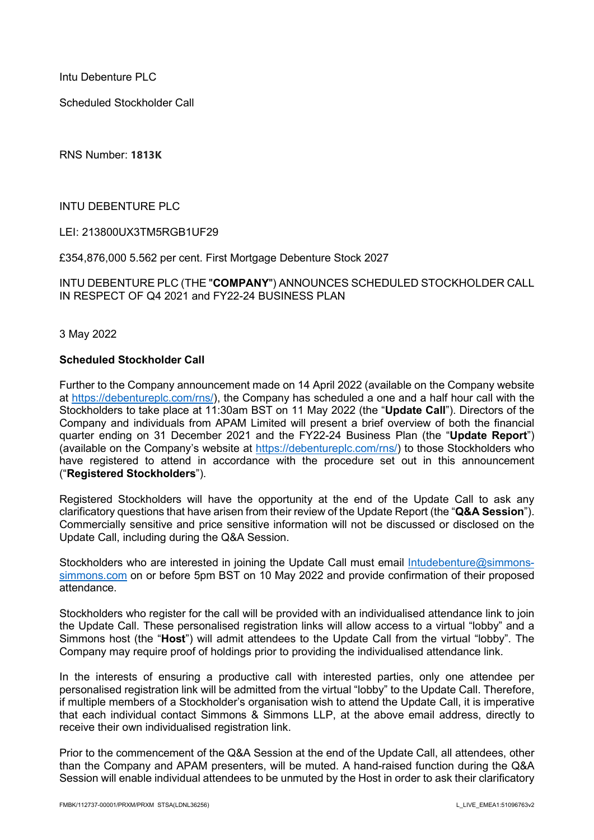Intu Debenture PLC

Scheduled Stockholder Call

RNS Number: **1813K**

INTU DEBENTURE PLC

LEI: 213800UX3TM5RGB1UF29

£354,876,000 5.562 per cent. First Mortgage Debenture Stock 2027

INTU DEBENTURE PLC (THE "**COMPANY**") ANNOUNCES SCHEDULED STOCKHOLDER CALL IN RESPECT OF Q4 2021 and FY22-24 BUSINESS PLAN

3 May 2022

## **Scheduled Stockholder Call**

Further to the Company announcement made on 14 April 2022 (available on the Company website at [https://debentureplc.com/rns/\)](https://debentureplc.com/rns/), the Company has scheduled a one and a half hour call with the Stockholders to take place at 11:30am BST on 11 May 2022 (the "**Update Call**"). Directors of the Company and individuals from APAM Limited will present a brief overview of both the financial quarter ending on 31 December 2021 and the FY22-24 Business Plan (the "**Update Report**") (available on the Company's website at [https://debentureplc.com/rns/\)](https://debentureplc.com/rns/) to those Stockholders who have registered to attend in accordance with the procedure set out in this announcement ("**Registered Stockholders**").

Registered Stockholders will have the opportunity at the end of the Update Call to ask any clarificatory questions that have arisen from their review of the Update Report (the "**Q&A Session**"). Commercially sensitive and price sensitive information will not be discussed or disclosed on the Update Call, including during the Q&A Session.

Stockholders who are interested in joining the Update Call must email [Intudebenture@simmons](mailto:Intudebenture@simmons-simmons.com)[simmons.com](mailto:Intudebenture@simmons-simmons.com) on or before 5pm BST on 10 May 2022 and provide confirmation of their proposed attendance.

Stockholders who register for the call will be provided with an individualised attendance link to join the Update Call. These personalised registration links will allow access to a virtual "lobby" and a Simmons host (the "**Host**") will admit attendees to the Update Call from the virtual "lobby". The Company may require proof of holdings prior to providing the individualised attendance link.

In the interests of ensuring a productive call with interested parties, only one attendee per personalised registration link will be admitted from the virtual "lobby" to the Update Call. Therefore, if multiple members of a Stockholder's organisation wish to attend the Update Call, it is imperative that each individual contact Simmons & Simmons LLP, at the above email address, directly to receive their own individualised registration link.

Prior to the commencement of the Q&A Session at the end of the Update Call, all attendees, other than the Company and APAM presenters, will be muted. A hand-raised function during the Q&A Session will enable individual attendees to be unmuted by the Host in order to ask their clarificatory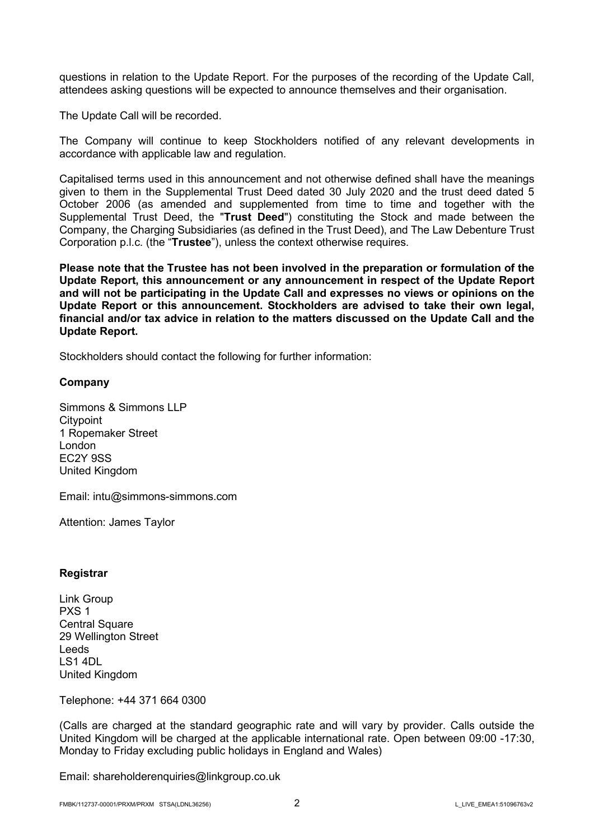questions in relation to the Update Report. For the purposes of the recording of the Update Call, attendees asking questions will be expected to announce themselves and their organisation.

The Update Call will be recorded.

The Company will continue to keep Stockholders notified of any relevant developments in accordance with applicable law and regulation.

Capitalised terms used in this announcement and not otherwise defined shall have the meanings given to them in the Supplemental Trust Deed dated 30 July 2020 and the trust deed dated 5 October 2006 (as amended and supplemented from time to time and together with the Supplemental Trust Deed, the "**Trust Deed**") constituting the Stock and made between the Company, the Charging Subsidiaries (as defined in the Trust Deed), and The Law Debenture Trust Corporation p.l.c. (the "**Trustee**"), unless the context otherwise requires.

**Please note that the Trustee has not been involved in the preparation or formulation of the Update Report, this announcement or any announcement in respect of the Update Report and will not be participating in the Update Call and expresses no views or opinions on the Update Report or this announcement. Stockholders are advised to take their own legal, financial and/or tax advice in relation to the matters discussed on the Update Call and the Update Report.** 

Stockholders should contact the following for further information:

## **Company**

Simmons & Simmons LLP **Citypoint** 1 Ropemaker Street London EC2Y 9SS United Kingdom

Email: intu@simmons-simmons.com

Attention: James Taylor

## **Registrar**

Link Group PXS 1 Central Square 29 Wellington Street Leeds LS1 4DL United Kingdom

Telephone: +44 371 664 0300

(Calls are charged at the standard geographic rate and will vary by provider. Calls outside the United Kingdom will be charged at the applicable international rate. Open between 09:00 -17:30, Monday to Friday excluding public holidays in England and Wales)

Email: shareholderenquiries@linkgroup.co.uk